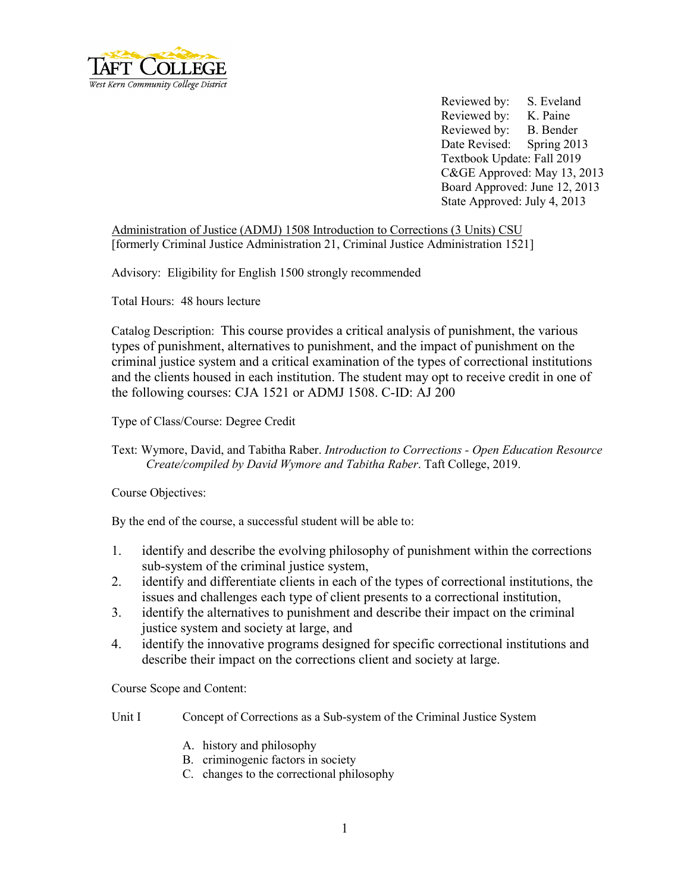

Reviewed by: S. Eveland Reviewed by: K. Paine Reviewed by: B. Bender Date Revised: Spring 2013 Textbook Update: Fall 2019 C&GE Approved: May 13, 2013 Board Approved: June 12, 2013 State Approved: July 4, 2013

Administration of Justice (ADMJ) 1508 Introduction to Corrections (3 Units) CSU [formerly Criminal Justice Administration 21, Criminal Justice Administration 1521]

Advisory: Eligibility for English 1500 strongly recommended

Total Hours: 48 hours lecture

Catalog Description: This course provides a critical analysis of punishment, the various types of punishment, alternatives to punishment, and the impact of punishment on the criminal justice system and a critical examination of the types of correctional institutions and the clients housed in each institution. The student may opt to receive credit in one of the following courses: CJA 1521 or ADMJ 1508. C-ID: AJ 200

Type of Class/Course: Degree Credit

Text: Wymore, David, and Tabitha Raber. *Introduction to Corrections - Open Education Resource Create/compiled by David Wymore and Tabitha Raber*. Taft College, 2019.

Course Objectives:

By the end of the course, a successful student will be able to:

- 1. identify and describe the evolving philosophy of punishment within the corrections sub-system of the criminal justice system,
- 2. identify and differentiate clients in each of the types of correctional institutions, the issues and challenges each type of client presents to a correctional institution,
- 3. identify the alternatives to punishment and describe their impact on the criminal justice system and society at large, and
- 4. identify the innovative programs designed for specific correctional institutions and describe their impact on the corrections client and society at large.

Course Scope and Content:

Unit I Concept of Corrections as a Sub-system of the Criminal Justice System

- A. history and philosophy
- B. criminogenic factors in society
- C. changes to the correctional philosophy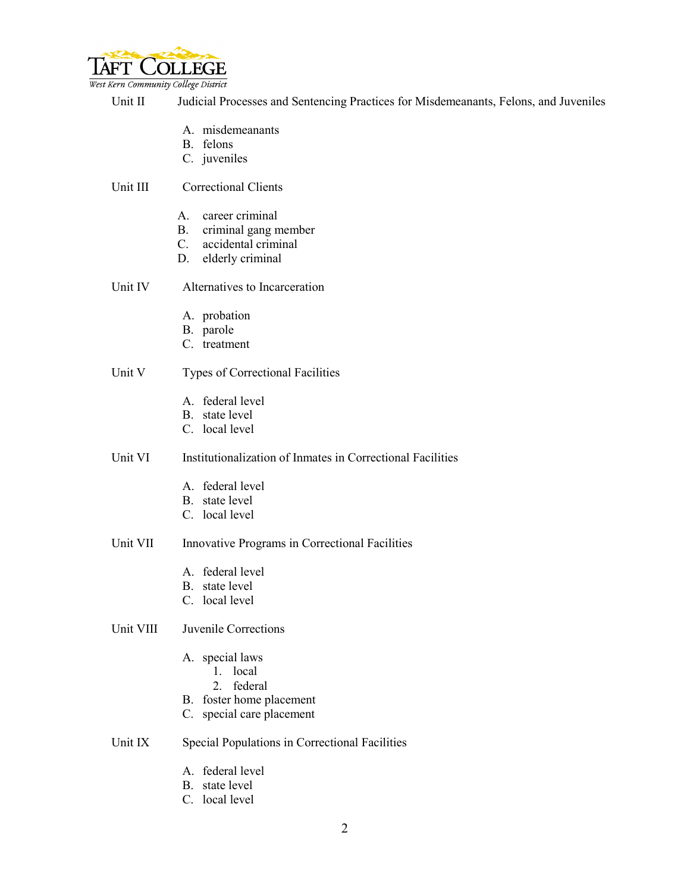

West Kern Community College District

Unit II Judicial Processes and Sentencing Practices for Misdemeanants, Felons, and Juveniles

- A. misdemeanants
- B. felons
- C. juveniles

Unit III Correctional Clients

- A. career criminal
- B. criminal gang member
- C. accidental criminal
- D. elderly criminal

Unit IV Alternatives to Incarceration

- A. probation
- B. parole
- C. treatment

#### Unit V Types of Correctional Facilities

- A. federal level
- B. state level
- C. local level

# Unit VI Institutionalization of Inmates in Correctional Facilities

- A. federal level
- B. state level
- C. local level

#### Unit VII Innovative Programs in Correctional Facilities

- A. federal level
- B. state level
- C. local level

## Unit VIII Juvenile Corrections

- A. special laws
	- 1. local
	- 2. federal
- B. foster home placement
- C. special care placement

## Unit IX Special Populations in Correctional Facilities

- A. federal level
- B. state level
- C. local level